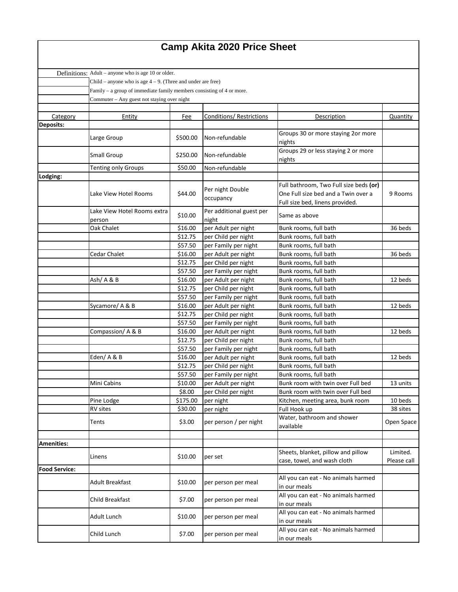## **Camp Akita 2020 Price Sheet**

|                      | Definitions: Adult – anyone who is age 10 or older.                     |                                             |                                            |                                                |             |  |  |  |
|----------------------|-------------------------------------------------------------------------|---------------------------------------------|--------------------------------------------|------------------------------------------------|-------------|--|--|--|
|                      | Child – anyone who is age $4 - 9$ . (Three and under are free)          |                                             |                                            |                                                |             |  |  |  |
|                      | Family $-$ a group of immediate family members consisting of 4 or more. |                                             |                                            |                                                |             |  |  |  |
|                      |                                                                         | Commuter - Any guest not staying over night |                                            |                                                |             |  |  |  |
|                      |                                                                         |                                             |                                            |                                                |             |  |  |  |
| Category             | Entity                                                                  | Fee                                         | <b>Conditions/ Restrictions</b>            | Description                                    | Quantity    |  |  |  |
| <b>Deposits:</b>     |                                                                         |                                             |                                            |                                                |             |  |  |  |
|                      | Large Group                                                             | \$500.00                                    | Non-refundable                             | Groups 30 or more staying 2or more             |             |  |  |  |
|                      |                                                                         |                                             |                                            | nights                                         |             |  |  |  |
|                      | <b>Small Group</b>                                                      | \$250.00                                    | Non-refundable                             | Groups 29 or less staying 2 or more            |             |  |  |  |
|                      |                                                                         |                                             |                                            | nights                                         |             |  |  |  |
|                      | <b>Tenting only Groups</b>                                              | \$50.00                                     | Non-refundable                             |                                                |             |  |  |  |
| Lodging:             |                                                                         |                                             |                                            |                                                |             |  |  |  |
|                      |                                                                         |                                             | Per night Double                           | Full bathroom, Two Full size beds (or)         |             |  |  |  |
|                      | Lake View Hotel Rooms                                                   | \$44.00                                     | occupancy                                  | One Full size bed and a Twin over a            | 9 Rooms     |  |  |  |
|                      |                                                                         |                                             |                                            | Full size bed, linens provided.                |             |  |  |  |
|                      | Lake View Hotel Rooms extra                                             | \$10.00                                     | Per additional guest per                   | Same as above                                  |             |  |  |  |
|                      | person                                                                  |                                             | night                                      |                                                |             |  |  |  |
|                      | Oak Chalet                                                              | \$16.00                                     | per Adult per night                        | Bunk rooms, full bath                          | 36 beds     |  |  |  |
|                      |                                                                         | \$12.75<br>\$57.50                          | per Child per night                        | Bunk rooms, full bath                          |             |  |  |  |
|                      | <b>Cedar Chalet</b>                                                     | \$16.00                                     | per Family per night                       | Bunk rooms, full bath                          | 36 beds     |  |  |  |
|                      |                                                                         | \$12.75                                     | per Adult per night<br>per Child per night | Bunk rooms, full bath<br>Bunk rooms, full bath |             |  |  |  |
|                      |                                                                         | \$57.50                                     | per Family per night                       | Bunk rooms, full bath                          |             |  |  |  |
|                      | Ash/A&B                                                                 | \$16.00                                     | per Adult per night                        | Bunk rooms, full bath                          | 12 beds     |  |  |  |
|                      |                                                                         | \$12.75                                     | per Child per night                        | Bunk rooms, full bath                          |             |  |  |  |
|                      |                                                                         | \$57.50                                     | per Family per night                       | Bunk rooms, full bath                          |             |  |  |  |
|                      | Sycamore/ A & B                                                         | \$16.00                                     | per Adult per night                        | Bunk rooms, full bath                          | 12 beds     |  |  |  |
|                      |                                                                         | \$12.75                                     | per Child per night                        | Bunk rooms, full bath                          |             |  |  |  |
|                      |                                                                         | \$57.50                                     | per Family per night                       | Bunk rooms, full bath                          |             |  |  |  |
|                      | Compassion/A & B                                                        | \$16.00                                     | per Adult per night                        | Bunk rooms, full bath                          | 12 beds     |  |  |  |
|                      |                                                                         | \$12.75                                     | per Child per night                        | Bunk rooms, full bath                          |             |  |  |  |
|                      |                                                                         | \$57.50                                     | per Family per night                       | Bunk rooms, full bath                          |             |  |  |  |
|                      | Eden/A&B                                                                | \$16.00                                     | per Adult per night                        | Bunk rooms, full bath                          | 12 beds     |  |  |  |
|                      |                                                                         | \$12.75                                     | per Child per night                        | Bunk rooms, full bath                          |             |  |  |  |
|                      |                                                                         | \$57.50                                     | per Family per night                       | Bunk rooms, full bath                          |             |  |  |  |
|                      | Mini Cabins                                                             | \$10.00                                     | per Adult per night                        | Bunk room with twin over Full bed              | 13 units    |  |  |  |
|                      |                                                                         | \$8.00                                      | per Child per night                        | Bunk room with twin over Full bed              |             |  |  |  |
|                      | Pine Lodge                                                              | \$175.00                                    | per night                                  | Kitchen, meeting area, bunk room               | 10 beds     |  |  |  |
|                      | RV sites                                                                | \$30.00                                     | per night                                  | Full Hook up                                   | 38 sites    |  |  |  |
|                      |                                                                         |                                             |                                            | Water, bathroom and shower                     |             |  |  |  |
|                      | Tents                                                                   | \$3.00                                      | per person / per night                     | available                                      | Open Space  |  |  |  |
|                      |                                                                         |                                             |                                            |                                                |             |  |  |  |
| <b>Amenities:</b>    |                                                                         |                                             |                                            |                                                |             |  |  |  |
|                      | Linens                                                                  | \$10.00                                     | per set                                    | Sheets, blanket, pillow and pillow             | Limited.    |  |  |  |
|                      |                                                                         |                                             |                                            | case, towel, and wash cloth                    | Please call |  |  |  |
| <b>Food Service:</b> |                                                                         |                                             |                                            |                                                |             |  |  |  |
|                      | <b>Adult Breakfast</b>                                                  | \$10.00                                     | per person per meal                        | All you can eat - No animals harmed            |             |  |  |  |
|                      |                                                                         |                                             |                                            | in our meals                                   |             |  |  |  |
|                      | <b>Child Breakfast</b>                                                  | \$7.00                                      | per person per meal                        | All you can eat - No animals harmed            |             |  |  |  |
|                      |                                                                         |                                             |                                            | in our meals                                   |             |  |  |  |
|                      | <b>Adult Lunch</b>                                                      | \$10.00                                     | per person per meal                        | All you can eat - No animals harmed            |             |  |  |  |
|                      |                                                                         |                                             |                                            | in our meals                                   |             |  |  |  |
|                      | Child Lunch                                                             | \$7.00                                      | per person per meal                        | All you can eat - No animals harmed            |             |  |  |  |
|                      |                                                                         |                                             |                                            | in our meals                                   |             |  |  |  |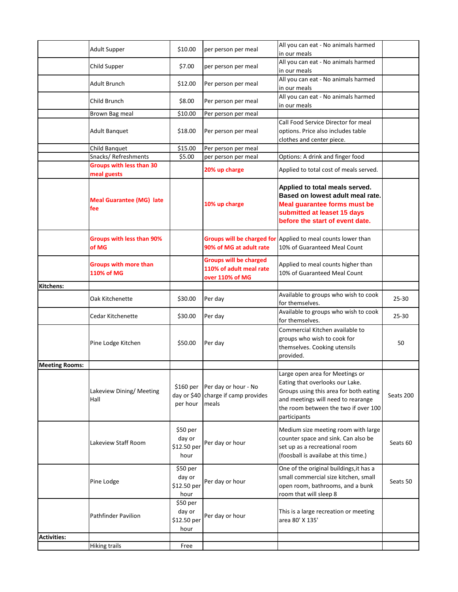|                       | <b>Adult Supper</b>                            | \$10.00                                    | per person per meal                                                         | All you can eat - No animals harmed<br>in our meals                                                                                                                                                        |           |
|-----------------------|------------------------------------------------|--------------------------------------------|-----------------------------------------------------------------------------|------------------------------------------------------------------------------------------------------------------------------------------------------------------------------------------------------------|-----------|
|                       | Child Supper                                   | \$7.00                                     | per person per meal                                                         | All you can eat - No animals harmed<br>in our meals                                                                                                                                                        |           |
|                       | <b>Adult Brunch</b>                            | \$12.00                                    | Per person per meal                                                         | All you can eat - No animals harmed<br>in our meals                                                                                                                                                        |           |
|                       | Child Brunch                                   | \$8.00                                     | Per person per meal                                                         | All you can eat - No animals harmed<br>in our meals                                                                                                                                                        |           |
|                       | Brown Bag meal                                 | \$10.00                                    | Per person per meal                                                         |                                                                                                                                                                                                            |           |
|                       | <b>Adult Banquet</b>                           | \$18.00                                    | Per person per meal                                                         | Call Food Service Director for meal<br>options. Price also includes table<br>clothes and center piece.                                                                                                     |           |
|                       | Child Banquet                                  | \$15.00                                    | Per person per meal                                                         |                                                                                                                                                                                                            |           |
|                       | Snacks/Refreshments                            | \$5.00                                     | per person per meal                                                         | Options: A drink and finger food                                                                                                                                                                           |           |
|                       | <b>Groups with less than 30</b><br>meal guests |                                            | 20% up charge                                                               | Applied to total cost of meals served.                                                                                                                                                                     |           |
|                       | <b>Meal Guarantee (MG) late</b><br>fee         |                                            | 10% up charge                                                               | Applied to total meals served.<br>Based on lowest adult meal rate.<br><b>Meal guarantee forms must be</b><br>submitted at leaset 15 days<br>before the start of event date.                                |           |
|                       | <b>Groups with less than 90%</b><br>of MG      |                                            | 90% of MG at adult rate                                                     | Groups will be charged for Applied to meal counts lower than<br>10% of Guaranteed Meal Count                                                                                                               |           |
|                       | <b>Groups with more than</b><br>110% of MG     |                                            | <b>Groups will be charged</b><br>110% of adult meal rate<br>over 110% of MG | Applied to meal counts higher than<br>10% of Guaranteed Meal Count                                                                                                                                         |           |
| Kitchens:             |                                                |                                            |                                                                             |                                                                                                                                                                                                            |           |
|                       | Oak Kitchenette                                | \$30.00                                    | Per day                                                                     | Available to groups who wish to cook<br>for themselves.                                                                                                                                                    | $25 - 30$ |
|                       | Cedar Kitchenette                              | \$30.00                                    | Per day                                                                     | Available to groups who wish to cook<br>for themselves.                                                                                                                                                    | $25 - 30$ |
|                       | Pine Lodge Kitchen                             | \$50.00                                    | Per day                                                                     | Commercial Kitchen available to<br>groups who wish to cook for<br>themselves. Cooking utensils<br>provided.                                                                                                | 50        |
| <b>Meeting Rooms:</b> |                                                |                                            |                                                                             |                                                                                                                                                                                                            |           |
|                       | Lakeview Dining/ Meeting<br>Hall               | \$160~per<br>per hour                      | Per day or hour - No<br>day or \$40 charge if camp provides<br>meals        | Large open area for Meetings or<br>Eating that overlooks our Lake.<br>Groups using this area for both eating<br>and meetings will need to rearange<br>the room between the two if over 100<br>participants | Seats 200 |
|                       | Lakeview Staff Room                            | \$50 per<br>day or<br>\$12.50 per<br>hour  | Per day or hour                                                             | Medium size meeting room with large<br>counter space and sink. Can also be<br>set up as a recreational room<br>(foosball is availabe at this time.)                                                        | Seats 60  |
|                       | Pine Lodge                                     | \$50 per<br>day or<br>\$12.50 per<br>hour  | Per day or hour                                                             | One of the original buildings, it has a<br>small commercial size kitchen, small<br>open room, bathrooms, and a bunk<br>room that will sleep 8                                                              | Seats 50  |
|                       | <b>Pathfinder Pavilion</b>                     | $$50$ per<br>day or<br>\$12.50 per<br>hour | Per day or hour                                                             | This is a large recreation or meeting<br>area 80' X 135'                                                                                                                                                   |           |
| <b>Activities:</b>    |                                                |                                            |                                                                             |                                                                                                                                                                                                            |           |
|                       | <b>Hiking trails</b>                           | Free                                       |                                                                             |                                                                                                                                                                                                            |           |
|                       |                                                |                                            |                                                                             |                                                                                                                                                                                                            |           |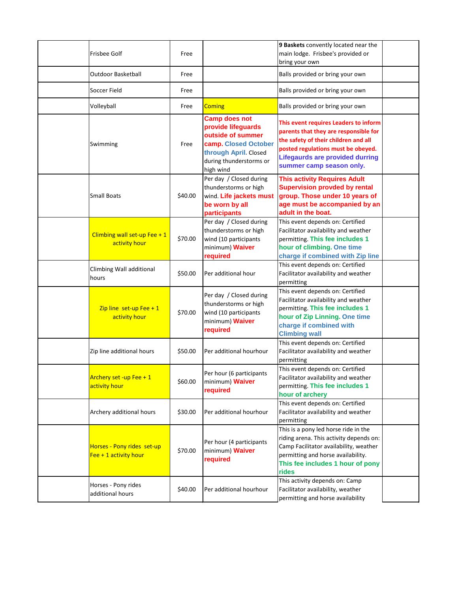| <b>Frisbee Golf</b>                                   | Free    |                                                                                                                                                          | 9 Baskets convently located near the<br>main lodge. Frisbee's provided or<br>bring your own                                                                                                                                        |  |
|-------------------------------------------------------|---------|----------------------------------------------------------------------------------------------------------------------------------------------------------|------------------------------------------------------------------------------------------------------------------------------------------------------------------------------------------------------------------------------------|--|
| <b>Outdoor Basketball</b>                             | Free    |                                                                                                                                                          | Balls provided or bring your own                                                                                                                                                                                                   |  |
| Soccer Field                                          | Free    |                                                                                                                                                          | Balls provided or bring your own                                                                                                                                                                                                   |  |
| Volleyball                                            | Free    | <b>Coming</b>                                                                                                                                            | Balls provided or bring your own                                                                                                                                                                                                   |  |
| Swimming                                              | Free    | <b>Camp does not</b><br>provide lifeguards<br>outside of summer<br>camp. Closed October<br>through April. Closed<br>during thunderstorms or<br>high wind | This event requires Leaders to inform<br>parents that they are responsible for<br>the safety of their children and all<br>posted regulations must be obeyed.<br><b>Lifegaurds are provided durring</b><br>summer camp season only. |  |
| <b>Small Boats</b>                                    | \$40.00 | Per day / Closed during<br>thunderstorms or high<br>wind. Life jackets must<br>be worn by all<br>participants                                            | <b>This activity Requires Adult</b><br><b>Supervision provded by rental</b><br>group. Those under 10 years of<br>age must be accompanied by an<br>adult in the boat.                                                               |  |
| Climbing wall set-up Fee + 1<br>activity hour         | \$70.00 | Per day / Closed during<br>thunderstorms or high<br>wind (10 participants<br>minimum) Waiver<br>required                                                 | This event depends on: Certified<br>Facilitator availability and weather<br>permitting. This fee includes 1<br>hour of climbing. One time<br>charge if combined with Zip line                                                      |  |
| Climbing Wall additional<br>hours                     | \$50.00 | Per additional hour                                                                                                                                      | This event depends on: Certified<br>Facilitator availability and weather<br>permitting                                                                                                                                             |  |
| Zip line set-up Fee + $1$<br>activity hour            | \$70.00 | Per day / Closed during<br>thunderstorms or high<br>wind (10 participants<br>minimum) Waiver<br>required                                                 | This event depends on: Certified<br>Facilitator availability and weather<br>permitting. This fee includes 1<br>hour of Zip Linning. One time<br>charge if combined with<br><b>Climbing wall</b>                                    |  |
| Zip line additional hours                             | \$50.00 | Per additional hourhour                                                                                                                                  | This event depends on: Certified<br>Facilitator availability and weather<br>permitting                                                                                                                                             |  |
| Archery set -up Fee + $1$<br>activity hour            | \$60.00 | Per hour (6 participants<br>minimum) Waiver<br>required                                                                                                  | This event depends on: Certified<br>Facilitator availability and weather<br>permitting. This fee includes 1<br>hour of archery                                                                                                     |  |
| Archery additional hours                              | \$30.00 | Per additional hourhour                                                                                                                                  | This event depends on: Certified<br>Facilitator availability and weather<br>permitting                                                                                                                                             |  |
| Horses - Pony rides set-up<br>Fee $+$ 1 activity hour | \$70.00 | Per hour (4 participants<br>minimum) Waiver<br>required                                                                                                  | This is a pony led horse ride in the<br>riding arena. This activity depends on:<br>Camp Facilitator availability, weather<br>permitting and horse availability.<br>This fee includes 1 hour of pony<br>rides                       |  |
| Horses - Pony rides<br>additional hours               | \$40.00 | Per additional hourhour                                                                                                                                  | This activity depends on: Camp<br>Facilitator availability, weather<br>permitting and horse availability                                                                                                                           |  |